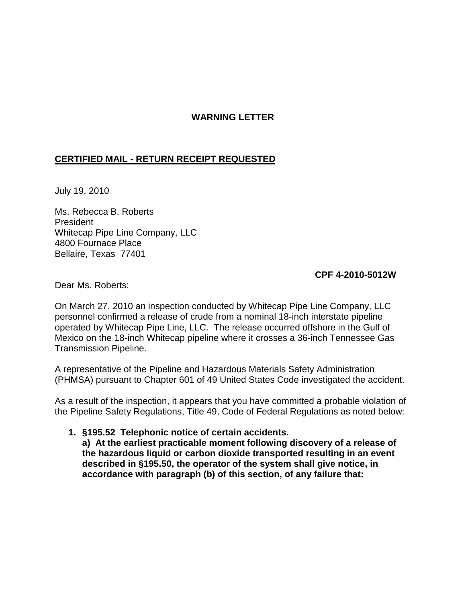## **WARNING LETTER**

## **CERTIFIED MAIL - RETURN RECEIPT REQUESTED**

July 19, 2010

Ms. Rebecca B. Roberts President Whitecap Pipe Line Company, LLC 4800 Fournace Place Bellaire, Texas 77401

## **CPF 4-2010-5012W**

Dear Ms. Roberts:

On March 27, 2010 an inspection conducted by Whitecap Pipe Line Company, LLC personnel confirmed a release of crude from a nominal 18-inch interstate pipeline operated by Whitecap Pipe Line, LLC. The release occurred offshore in the Gulf of Mexico on the 18-inch Whitecap pipeline where it crosses a 36-inch Tennessee Gas Transmission Pipeline.

A representative of the Pipeline and Hazardous Materials Safety Administration (PHMSA) pursuant to Chapter 601 of 49 United States Code investigated the accident.

As a result of the inspection, it appears that you have committed a probable violation of the Pipeline Safety Regulations, Title 49, Code of Federal Regulations as noted below:

**1. §195.52 Telephonic notice of certain accidents.**

**a) At the earliest practicable moment following discovery of a release of the hazardous liquid or carbon dioxide transported resulting in an event described in §195.50, the operator of the system shall give notice, in accordance with paragraph (b) of this section, of any failure that:**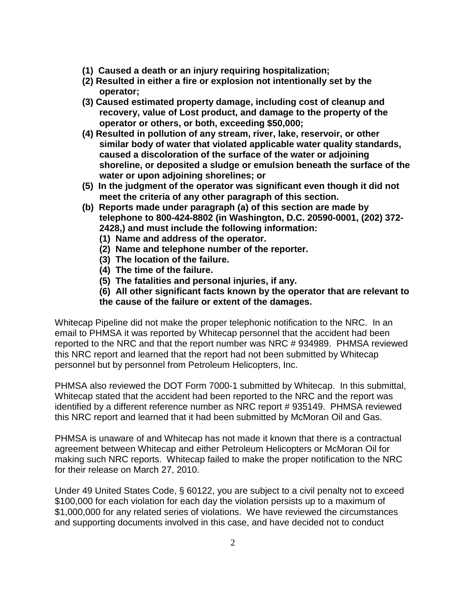- **(1) Caused a death or an injury requiring hospitalization;**
- **(2) Resulted in either a fire or explosion not intentionally set by the operator;**
- **(3) Caused estimated property damage, including cost of cleanup and recovery, value of Lost product, and damage to the property of the operator or others, or both, exceeding \$50,000;**
- **(4) Resulted in pollution of any stream, river, lake, reservoir, or other similar body of water that violated applicable water quality standards, caused a discoloration of the surface of the water or adjoining shoreline, or deposited a sludge or emulsion beneath the surface of the water or upon adjoining shorelines; or**
- **(5) In the judgment of the operator was significant even though it did not meet the criteria of any other paragraph of this section.**
- **(b) Reports made under paragraph (a) of this section are made by telephone to 800-424-8802 (in Washington, D.C. 20590-0001, (202) 372- 2428,) and must include the following information:**
	- **(1) Name and address of the operator.**
	- **(2) Name and telephone number of the reporter.**
	- **(3) The location of the failure.**
	- **(4) The time of the failure.**
	- **(5) The fatalities and personal injuries, if any.**
	- **(6) All other significant facts known by the operator that are relevant to the cause of the failure or extent of the damages.**

Whitecap Pipeline did not make the proper telephonic notification to the NRC. In an email to PHMSA it was reported by Whitecap personnel that the accident had been reported to the NRC and that the report number was NRC # 934989. PHMSA reviewed this NRC report and learned that the report had not been submitted by Whitecap personnel but by personnel from Petroleum Helicopters, Inc.

PHMSA also reviewed the DOT Form 7000-1 submitted by Whitecap. In this submittal, Whitecap stated that the accident had been reported to the NRC and the report was identified by a different reference number as NRC report # 935149. PHMSA reviewed this NRC report and learned that it had been submitted by McMoran Oil and Gas.

PHMSA is unaware of and Whitecap has not made it known that there is a contractual agreement between Whitecap and either Petroleum Helicopters or McMoran Oil for making such NRC reports. Whitecap failed to make the proper notification to the NRC for their release on March 27, 2010.

Under 49 United States Code, § 60122, you are subject to a civil penalty not to exceed \$100,000 for each violation for each day the violation persists up to a maximum of \$1,000,000 for any related series of violations. We have reviewed the circumstances and supporting documents involved in this case, and have decided not to conduct